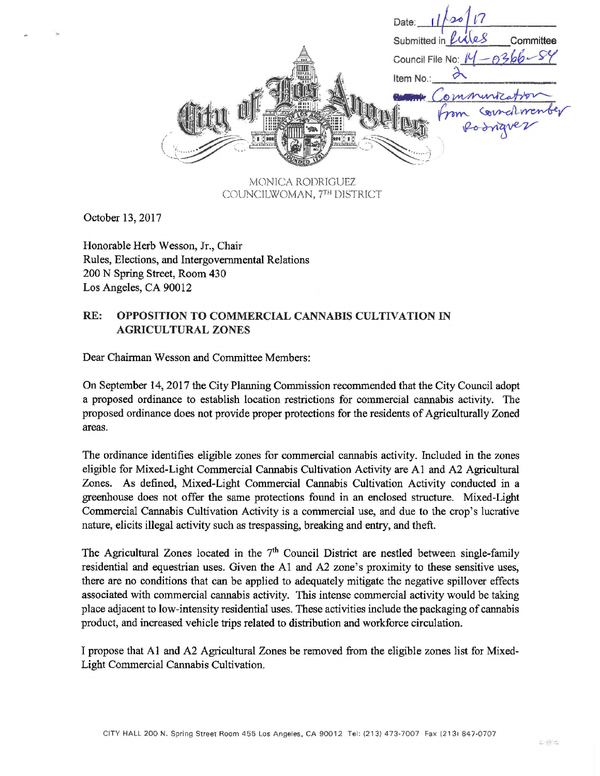Date: Submitted in Committee Council File No: Item No mmuniz

MONICA RODRIGUEZ COUNCILWOMAN, 7TH DISTRICT

October 13, 2017

Honorable Herb Wesson, Jr., Chair Rules, Elections, and Intergovernmental Relations 200 N Spring Street, Room 430 Los Angeles, CA 90012

## RE: OPPOSITION TO COMMERCIAL CANNABIS CULTIVATION IN AGRICULTURAL ZONES

Dear Chairman Wesson and Committee Members:

On September 14, 2017 the City Planning Commission recommended that the City Council adopt a proposed ordinance to establish location restrictions for commercial cannabis activity. The proposed ordinance does not provide proper protections for the residents of Agriculturally Zoned areas.

The ordinance identifies eligible zones for commercial cannabis activity. Included in the zones eligible for Mixed-Light Commercial Cannabis Cultivation Activity are A1 and A2 Agricultural Zones. As defined, Mixed-Light Commercial Cannabis Cultivation Activity conducted in a greenhouse does not offer the same protections found in an enclosed structure. Mixed-Light Commercial Cannabis Cultivation Activity is a commercial use, and due to the crop's lucrative nature, elicits illegal activity such as trespassing, breaking and entry, and theft.

The Agricultural Zones located in the  $7<sup>th</sup>$  Council District are nestled between single-family residential and equestrian uses. Given the AI and A2 zone's proximity to these sensitive uses, there are no conditions that can be applied to adequately mitigate the negative spillover effects associated with commercial cannabis activity. This intense commercial activity would be taking place adjacent to low-intensity residential uses. These activities include the packaging of cannabis product, and increased vehicle trips related to distribution and workforce circulation.

I propose that Al and A2 Agricultural Zones be removed from the eligible zones list for Mixed-Light Commercial Cannabis Cultivation.